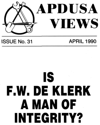

## ISSUE No. 31 APRIL 1990

# **IS .W. DE KLERK A MAN OF INTEGRITY?**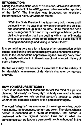#### **INTRODUCTION:**

During the course of the week of his release, Mr Nelson Mandela, the Vice-President of the ANC, gave an interview to the reporters of the SATV. The interview was broadcast on television. Referring to De Klerk, Mr Mandela stated:

"Well, the State President has taken very bold moves and I believe it when he says that he wants change in the political and economic set up in this country. I think that it has been very courageous of him and in my meetings with him I got the distinct impression that I am dealing with a man of integrity who is consciously aware of the danger to a public figure of making undertakings and failing to honour them".

It is something very rare for a leader of an organisation which claims to be fighting for liberation to pay such a handsome compliment to the leader of the oppressive regime. We say "very rare" only out of humility for in truth we know of no instance in history of such a happening.

Be that as it may, we consider it essential to test the validity of Mr Mandela's assessment of de Klerk's character by rigorous analysis.

#### **HOW TO MEASURE INTEGRITY**

There is no invention or technique to test the mind of a person claiming "sincerety" or "integrity". Nobody can read a human mind. Therefore we rely on that person's actions to decide whether that person is sincere or is a person of integrity.

The word "integrity" has a number of meanings — virtue, goodness, purity, righteousness, upright and so on. Therefore, when a person is described as a "Man of Integrity", that person is bestowed with the highest honour. How and in what circumstances can we favour a person with such an honour? In the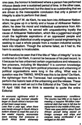**one case, the honour is bestowed where a person has performed virtuous deeds over a sustained period of time. In the other case, a single deed is performed; but the deed is so outstanding that we are driven to the inescapable conclusion that only a person of integrity is able to perform that deed.** 

**In the case of F.W. de Klerk, he was bom into Afrikaaner Nationalism; he grew up in a family and a house of Afrikaaner Nationalism; he drew his moral and intellectual sustenance from Afrikaaner Nationalism, he served with unquestioning loyalty the cause of Afrikaaner Nationalism, which like a juggernaut sought crush the legitimate aspirations of an oppressed people and which through diabolical cruelty engaged in social engineering by seeking to cast a whole people from a modem industrial society back into tribalism. Though the scheme failed, as it had to, the harm to society is incalculable.** 

> serious recessionary conditions. **The** country had little or no **hope** of meeting a massive R6-billion international debt that was to fall due for repayment in the middle of this year. There was speculation about South African aircraft being seized on foreign runways and ships and cargoes being confiscated if we reneged on the debt.

**It will therefore be seen that if the title of "Man of Integrity" is to be conferred on De Klerk, it cannot be because of his past record. Is it because he has unbanned certain organisations and released a few prisoners, including Mr Mandela? It is common knowledge that the release of long-term political prisoners and unbanning of political organisations were long in the offing. What was in question was the TIMING. WHEN was this to be done? De Klerk, the rightwinger from the Transvaal, had compelling reasons to perform the historic task of the unbanning and the release. These reasons are so well set out in the Editorial of the "Daily News" of 18 April 1990 that we think is essential to quote the entire Editorial:** 

An economic nightmare which in recent years has loomed steadily larger on South Africa's horizon has at last been swept away. Less than a year ago, when there **was** barely enough in South Africa's bottom drawer to meet the cost of **a**  few weeks' imports, economists were warning that everyone in South Africa faced extremely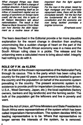What changed things was State President F. W. de Klerk's change of political direction. A burst of foreign confidence, expressing itself as an inflow of investment capital and an easing of sanctions on foreign bank credit, did the rest, this in spite of Mr Nelson Mandela's talk about nationalisation. The result is that Reserve Bank Governor Chris Stals can how dismiss the debt repayment as a routine issue of less

For the man in the street, beset by high mortgage and hire purchase repayment rates, there will be little immediate benefit. Yet the fact that the fundamental ills of both the constitution and the economy are now being tackled promises a brighter tomorrow.

important than the fight against inflation.

(Emphasis ours)

The fears described in the Editorial provide a far more plausible explanation for the recent change in direction than anything unconvincing like a sudden change of heart on the part of the ruling class. The South African economy was in a mess and the South African ruling class in a pickle. The release and the unbanning were a calculated move to bring about relief. Integrity had nothing to do with it.

#### **ROLE OF F.W. de KLERK**

F.W. de Klerk is the chosen representative of the Nationalist Party through its caucus. This is the party which has been ruling the country for the past 42 years. A government is installed to govern the country and the population on behalf of the economic system prevailing in the country. The present economic system is in existence to provide profit for imperialism (investors from Britain, U.S.A., West Germany, Japan, etc.); the local capitalists (factory owners, bankers and big landlords) and the farming sector. The bulk of the population get the leftovers and live in poverty and want.

Since the Act of Union, all Prime Ministers and State Presidents in South Africa were representatives of the system which has been called Imperialism-Herrenvolkism. The system decides WHO its leading representative is to be. Where that representative no longer serves the interests of the system, he is removed.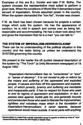Examples of this are B.J. Vorster and later P.W. Botha. The system chooses the representative most suited to perform a given task. When the conditions of World War II demanded a loyal servant of imperialism, Smuts assumed power in the country. When the system demanded the "iron fist", Vorster was chosen.

F.W. de Klerk has been chosen because he projects a certain image which suits the system. He has the appearance of candour; he is mild in speech and comes over as being fair, reasonable and accommodating. He has a clean look about him and gives the impression that he is a man "you can talk to."

#### **THE SYSTEM OF IMPERIALISM-HERRENVOLKISM\***

There can be no understanding of the political situation in this country and the tasks facing us unless we understand the SYSTEM governing this country.

We present to the reader the oft quoted classical description of the system by "The Torch" (a Unity Movement newspaper) of 19 August 1952:

\*Herrenvolkism is a belief that a certain population group is superior to others by virtue of "race". Herrenvolk literally means **the** SIR **People or Master Race.** 

**"Imperialism-Herrenvolkism has no "conscience" or "soul" or "sense of decency". It is not moved to pity or reform by the misery and suffering of the oppressed and exploited people. It causes and lives off this oppression and exploitation, of which poverty, tyranny and suffering are inevitable and inseparable parts. It has no respect for those who seek to end its regime of oppression and exploitation. In fact, it passes laws against, builds jails for, and generally hounds and persecutes those who seek to liberate the impoverished, right/ess and voiceless mass which is the foundation of Imperialism-Herrenvolkism. It never repents, because repenfence would mean suicide. It never parts with anything**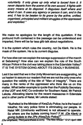**voluntarily. It only gives up only what is forced from it. It never departs from the scene of its own accord. It fights with every means at its disposal. It disguises itself where and when it can. It uses any agency or person it can, and in the end, it has to be beaten to its grave by the active, unified, organised, principled and militant struggles of the oppressed and exploited."** 

**We make no apologies for the length of this quotation. If the profound truth contained in the passage can be understood and imparted, there will be far less glib talk about negotiations.** 

**It is the system which rules the country, not De Klerk. He is the mask of the system. He is its current disguise.** 

**" Buthelezi is the Minister of KwaZulu Police; he is the head of Inkatha; his very police force is eliminating our people. In Natal MK (Umkhonto weSizwe) is not allowed to operate. So where are the bullets coming from? F.W. (De Klerk) is giving bullets to the ZPs (KwaZulu Police)''.**  (Our emphasis; Third parenthesis is ours). "The New African" 12-21 April 1990

**For how else can we explain the savage suppression of the march at Sebokeng? How else can we explain the role of the South African Police in the civil war taking place in the Edendale Valley? IT IS THE SYSTEM GOING ABOUT ITS DEADLY BUSINESS.** 

**Lest it be said that we in the Unity Movement are exaggerating, let us hasten to assure our readers that we are not the only ones who question the validity of the title of "Man of Integrity". There are many in the ranks of the oppressed who think like us on this matter. What better example to quote than the Publicity Secretary of the UDF and ANC Co-ordinator for Southern Natal, Mr Patrick** 

#### **Lekota. Allocating blame for the recent massacres in Edendale and in other parts of Natal, Mr Lekota stated:**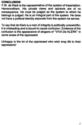### **CONCLUSION**

F.W. de Klerk is the representative of the system of Imperialism-Herrenvolkism. His private views and opinions are of no consequence. He must be judged as the system to which he belongs is judged. He is an integral part of the system. He does not have a political identity separate from the system he serves.

Unhappy is the lot of the oppressed who wish long life to their oppressors!

To say that de Klerk is a man of integrity is politically unscientific; it is misleading and is bound to cause confusion. Evidence of the confusion is the appearance of slogans of "VIVA De KLERK" in some areas of the oppressed.

7